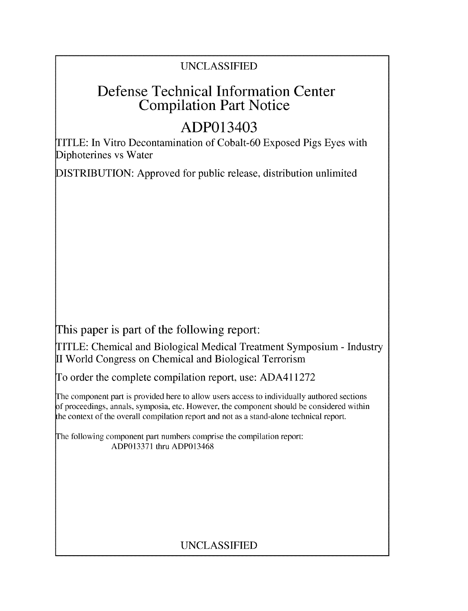## UNCLASSIFIED

# Defense Technical Information Center Compilation Part Notice

# ADP013403

TITLE: In Vitro Decontamination of Cobalt-60 Exposed Pigs Eyes with Diphoterines vs Water

DISTRIBUTION: Approved for public release, distribution unlimited

This paper is part of the following report:

TITLE: Chemical and Biological Medical Treatment Symposium - Industry II World Congress on Chemical and Biological Terrorism

To order the complete compilation report, use: ADA411272

The component part is provided here to allow users access to individually authored sections f proceedings, annals, symposia, etc. However, the component should be considered within the context of the overall compilation report and not as a stand-alone technical report.

The following component part numbers comprise the compilation report: ADP013371 thru ADP013468

# UNCLASSIFIED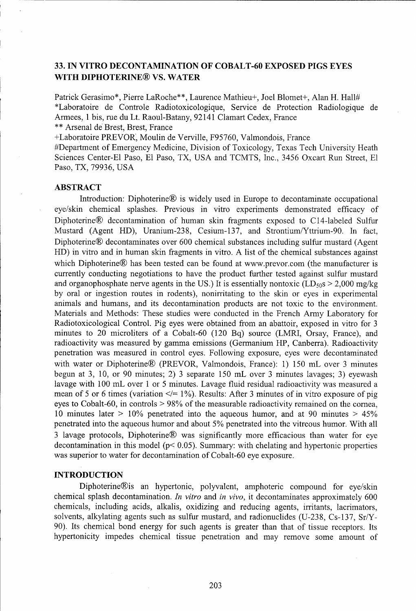### **33. IN** VITRO **DECONTAMINATION** OF **COBALT-60 EXPOSED PIGS EYES** WITH DIPHOTERINE® **VS.** WATER

Patrick Gerasimo\*, Pierre LaRoche\*\*, Laurence Mathieu+, Joel Blomet+, Alan H. Hall# \*Laboratoire de Controle Radiotoxicologique, Service de Protection Radiologique de Armees, 1 bis, rue du Lt. Raoul-Batany, 92141 Clamart Cedex, France \*\* Arsenal de Brest, Brest, France

+Laboratoire PREVOR, Moulin de Verville, F95760, Valmondois, France

#Department of Emergency Medicine, Division of Toxicology, Texas Tech University Heath Sciences Center-El Paso, El Paso, TX, USA and TCMTS, Inc., 3456 Oxcart Run Street, **El** Paso, TX, 79936, USA

#### ABSTRACT

Introduction: Diphoterine® is widely used in Europe to decontaminate occupational eye/skin chemical splashes. Previous in vitro experiments demonstrated efficacy of Diphoterine® decontamination of human skin fragments exposed to C 14-labeled Sulfur Mustard (Agent HD), Uranium-238, Cesium-137, and Strontium/Yttrium-90. In fact, Diphoterine® decontaminates over 600 chemical substances including sulfur mustard (Agent HD) in vitro and in human skin fragments in vitro. A list of the chemical substances against which Diphoterine® has been tested can be found at www.prevor.com (the manufacturer is currently conducting negotiations to have the product further tested against sulfur mustard and organophosphate nerve agents in the US.) It is essentially nontoxic (LD<sub>50</sub>s  $> 2,000$  mg/kg by oral or ingestion routes in rodents), nonirritating to the skin or eyes in experimental animals and humans, and its decontamination products are not toxic to the environment. Materials and Methods: These studies were conducted in the French Army Laboratory for Radiotoxicological Control. Pig eyes were obtained from an abattoir, exposed in vitro for 3 minutes to 20 microliters of a Cobalt-60 (120 Bq) source (LMRI, Orsay, France), and radioactivity was measured by gamma emissions (Germanium HP, Canberra). Radioactivity penetration was measured in control eyes. Following exposure, eyes were decontaminated with water or Diphoterine® (PREVOR, Valmondois, France): 1) 150 mL over 3 minutes begun at 3, 10, or 90 minutes; 2) 3 separate 150 mL over 3 minutes lavages; 3) eyewash lavage with 100 mL over 1 or 5 minutes. Lavage fluid residual radioactivity was measured a mean of 5 or 6 times (variation  $\leq$  = 1%). Results: After 3 minutes of in vitro exposure of pig eyes to Cobalt-60, in controls > 98% of the measurable radioactivity remained on the cornea, 10 minutes later > 10% penetrated into the aqueous humor, and at 90 minutes > 45% penetrated into the aqueous humor and about 5% penetrated into the vitreous humor. With all 3 lavage protocols, Diphoterine® was significantly more efficacious than water for eye decontamination in this model ( $p$ < 0.05). Summary: with chelating and hypertonic properties was superior to water for decontamination of Cobalt-60 eye exposure.

#### **INTRODUCTION**

Diphoterine®is an hypertonic, polyvalent, amphoteric compound for eye/skin chemical splash decontamination. *In vitro* and *in vivo,* it decontaminates approximately 600 chemicals, including acids, alkalis, oxidizing and reducing agents, irritants, lacrimators, solvents, alkylating agents such as sulfur mustard, and radionuclides (U-238, Cs-137, Sr/Y-90). Its chemical bond energy for such agents is greater than that of tissue receptors. Its hypertonicity impedes chemical tissue penetration and may remove some amount of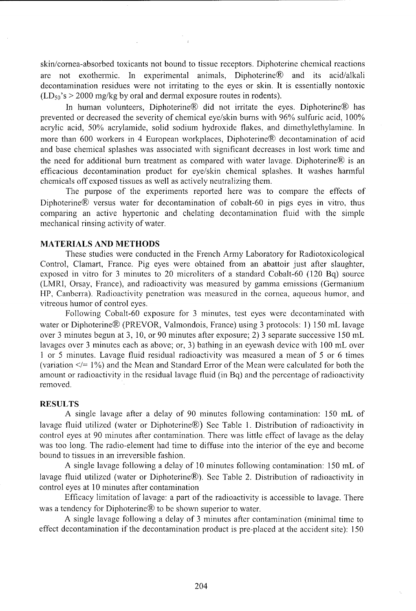skin/cornea-absorbed toxicants not bound to tissue receptors. Diphoterine chemical reactions are not exothermic. In experimental animals, Diphoterine® and its acid/alkali decontamination residues were not irritating to the eyes or skin. It is essentially nontoxic  $(LD_{50}$ 's > 2000 mg/kg by oral and dermal exposure routes in rodents).

In human volunteers, Diphoterine® did not irritate the eyes. Diphoterine® has prevented or decreased the severity of chemical eye/skin burns with 96% sulfuric acid, 100% acrylic acid, *50%* acrylamide, solid sodium hydroxide flakes, and dimethylethylamine. In more than 600 workers in 4 European workplaces, Diphoterine® decontamination of acid and base chemical splashes was associated with significant decreases in lost work time and the need for additional burn treatment as compared with water lavage. Diphoterine® is an efficacious decontamination product for eye/skin chemical splashes. It washes harmful chemicals off exposed tissues as well as actively neutralizing them.

The purpose of the experiments reported here was to compare the effects of Diphoterine® versus water for decontamination of cobalt-60 in pigs eyes in vitro, thus comparing an active hypertonic and chelating decontamination fluid with the simple mechanical rinsing activity of water.

#### MATERIALS AND METHODS

These studies were conducted in the French Army Laboratory for Radiotoxicological Control, Clamart, France. Pig eyes were obtained from an abattoir just after slaughter, exposed in vitro for 3 minutes to 20 microliters of a standard Cobalt-60 (120 Bq) source (LMRI, Orsay, France), and radioactivity was measured by gamma emissions (Germanium LIP, Canberra). Radioactivity penetration was measured in the cornea, aqueous humor, and vitreous humor of control eyes.

Following Cobalt-60 exposure for 3 minutes, test eyes were decontaminated with water or Diphoterine® (PREVOR, Valmondois, France) using 3 protocols: 1) 150 mL lavage over 3 minutes begun at 3, 10, or 90 minutes after exposure; 2) 3 separate successive 150 mL lavages over 3 minutes each as above; or, 3) bathing in an eyewash device with 100 mL over 1 or 5 minutes. Lavage fluid residual radioactivity was measured a mean of 5 or 6 times (variation  $\leq$  = 1%) and the Mean and Standard Error of the Mean were calculated for both the amount or radioactivity in the residual lavage fluid (in Bq) and the percentage of radioactivity removed.

#### RESULTS

A single lavage after a delay of 90 minutes following contamination: 150 mL of lavage fluid utilized (water or Diphoterine®) See Table 1. Distribution of radioactivity in control eyes at 90 minutes after contamination. There was little effect of lavage as the delay was too long. The radio-element had time to diffuse into the interior of the eye and become bound to tissues in an irreversible fashion.

A single lavage following a delay of 10 minutes following contamination: 150 mL of lavage fluid utilized (water or Diphoterine®). See Table 2. Distribution of radioactivity in control eyes at 10 minutes after contamination

Efficacy limitation of lavage: a part of the radioactivity is accessible to lavage. There was a tendency for Diphoterine<sup>®</sup> to be shown superior to water.

A single lavage following a delay of 3 minutes after contamination (minimal time to effect decontamination if the decontamination product is pre-placed at the accident site): 150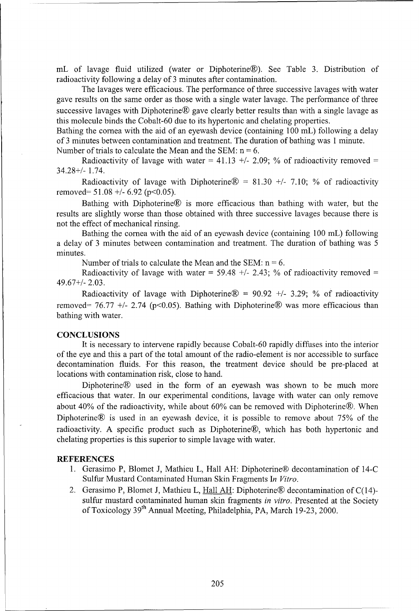mL of lavage fluid utilized (water or Diphoterine®). See Table 3. Distribution of radioactivity following a delay of 3 minutes after contamination.

The lavages were efficacious. The performance of three successive lavages with water gave results on the same order as those with a single water lavage. The performance of three successive lavages with Diphoterine® gave clearly better results than with a single lavage as this molecule binds the Cobalt-60 due to its hypertonic and chelating properties.

Bathing the cornea with the aid of an eyewash device (containing 100 mL) following a delay of 3 minutes between contamination and treatment. The duration of bathing was 1 minute. Number of trials to calculate the Mean and the SEM:  $n = 6$ .

Radioactivity of lavage with water = 41.13  $+/-$  2.09; % of radioactivity removed = 34.28+/- 1.74.

Radioactivity of lavage with Diphoterine $\mathcal{R} = 81.30 +1$ - 7.10; % of radioactivity removed= 51.08 **+/-** 6.92 (p<0.05).

Bathing with Diphoterine® is more efficacious than bathing with water, but the results are slightly worse than those obtained with three successive lavages because there is not the effect of mechanical rinsing.

Bathing the cornea with the aid of an eyewash device (containing 100 mL) following a delay of 3 minutes between contamination and treatment. The duration of bathing was 5 minutes.

Number of trials to calculate the Mean and the SEM:  $n = 6$ .

Radioactivity of lavage with water  $= 59.48 +1/2.43$ ; % of radioactivity removed  $=$ 49.67+/- 2.03.

Radioactivity of lavage with Diphoterine® **-=** 90.92 **+/-** 3.29; % of radioactivity removed=  $76.77$  +/- 2.74 (p<0.05). Bathing with Diphoterine® was more efficacious than bathing with water.

#### **CONCLUSIONS**

It is necessary to intervene rapidly because Cobalt-60 rapidly diffuses into the interior of the eye and this a part of the total amount of the radio-element is nor accessible to surface decontamination fluids. For this reason, the treatment device should be pre-placed at locations with contamination risk, close to hand.

Diphoterine® used in the form of an eyewash was shown to be much more efficacious that water. In our experimental conditions, lavage with water can only remove about 40% of the radioactivity, while about 60% can be removed with Diphoterine®. When Diphoterine® is used in an eyewash device, it is possible to remove about 75% of the radioactivity. A specific product such as Diphoterine®, which has both hypertonic and chelating properties is this superior to simple lavage with water.

#### **REFERENCES**

- 1. Gerasimo P, Blomet J, Mathieu L, Hall **AH:** Diphoterine® decontamination of 14-C Sulfur Mustard Contaminated Human Skin Fragments In *Vitro.*
- 2. Gerasimo P, Blomet J, Mathieu L, Hall **AH:** Diphoterine® decontamination of C(14) sulfur mustard contaminated human skin fragments *in vitro.* Presented at the Society of Toxicology 39th Annual Meeting, Philadelphia, PA, March 19-23, 2000.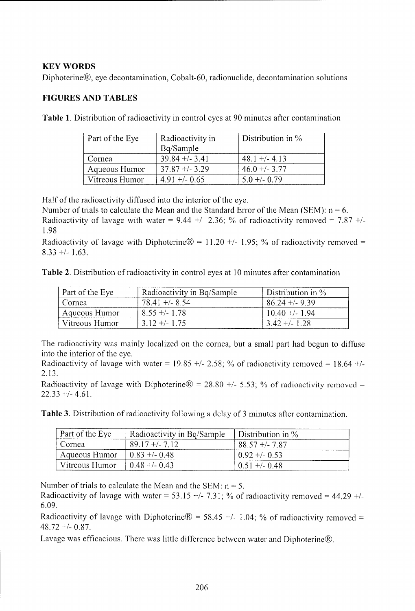## KEY WORDS

Diphoterine®, eye decontamination, Cobalt-60, radionuclide, decontamination solutions

## **FIGURES AND TABLES**

Table **1.** Distribution of radioactivity in control eyes at 90 minutes after contamination

| Part of the Eye | Radioactivity in  | Distribution in $\%$ |
|-----------------|-------------------|----------------------|
|                 | Bq/Sample         |                      |
| Cornea          | $39.84 + (-3.41)$ | $48.1 + (-4.13)$     |
| Aqueous Humor   | $37.87 + 3.29$    | $46.0 + -3.77$       |
| Vitreous Humor  | $4.91 +/- 0.65$   | $5.0 +/- 0.79$       |

Half of the radioactivity diffused into the interior of the eye.

Number of trials to calculate the Mean and the Standard Error of the Mean (SEM):  $n = 6$ . Radioactivity of lavage with water =  $9.44 +/- 2.36$ ; % of radioactivity removed =  $7.87 +/-$ 1.98

Radioactivity of lavage with Diphoterine  $\mathcal{D} = 11.20 +1.95$ ; % of radioactivity removed = 8.33 **+/-** 1.63.

Table 2. Distribution of radioactivity in control eyes at 10 minutes after contamination

| Part of the Eye | Radioactivity in Bq/Sample | Distribution in $\%$ |
|-----------------|----------------------------|----------------------|
| Cornea          | $7841 + 854$               | $86.24 + 9.39$       |
| Aqueous Humor   | $8.55 +/- 1.78$            | $10.40 +/- 1.94$     |
| Vitreous Humor  | $3.12 + 1.75$              | $3.42 + (-1.28)$     |

The radioactivity was mainly localized on the cornea, but a small part had begun to diffuse into the interior of the eye.

Radioactivity of lavage with water =  $19.85 +/- 2.58$ ; % of radioactivity removed =  $18.64 +/-$ 2.13.

Radioactivity of lavage with Diphoterine $\overline{R}$  = 28.80 +/- 5.53; % of radioactivity removed = 22.33 **+/-** 4.61.

Table 3. Distribution of radioactivity following a delay of 3 minutes after contamination.

| Part of the Eye | Radioactivity in Bq/Sample | Distribution in $\%$ |
|-----------------|----------------------------|----------------------|
| Cornea          | $89.17 + (-7)$             | $88.57 + 7.87$       |
| Aqueous Humor   | $0.83 + 0.48$              | $0.92 + 0.53$        |
| Vitreous Humor  | $0.48 + 0.43$              | $0.51 + (-0.48)$     |

Number of trials to calculate the Mean and the SEM: n **=** *5.*

Radioactivity of lavage with water =  $53.15 +/- 7.31$ ; % of radioactivity removed =  $44.29 +/-$ 6.09.

Radioactivity of lavage with Diphoterine $\mathcal{D} = 58.45 +/- 1.04$ ; % of radioactivity removed = 48.72 **+/-** 0.87.

Lavage was efficacious. There was little difference between water and Diphoterine®.